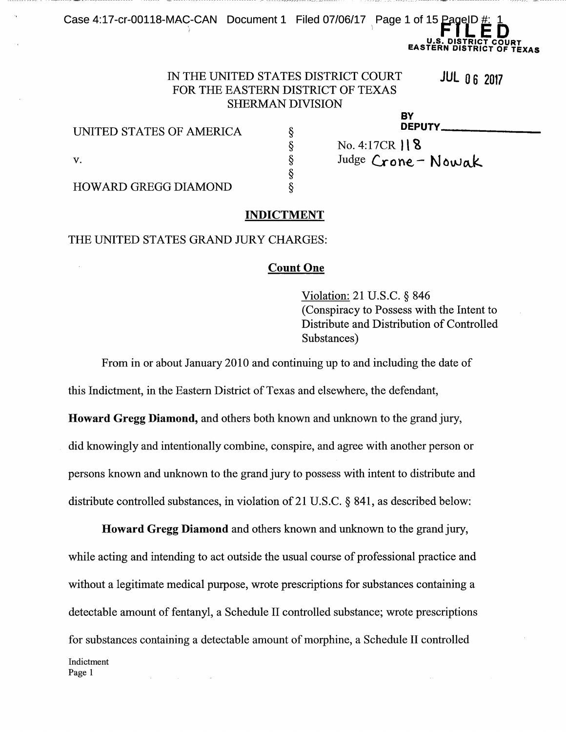# Case 4:17-cr-00118-MAC-CAN Document 1 Filed 07/06/17 Page 1 of 15 PageID #: 1<br>**It FILED U.S. DISTRICT COURT EASTERN DISTRICT OF TEXAS TEXAS**

# IN THE UNITED STATES DISTRICT COURT **JUL 06 2017** FOR THE EASTERN DISTRICT OF TEXAS SHERMAN DIVISION

§ § § § §

## UNITED STATES OF AMERICA

BY<br>DEPUTY<sub>-</sub> BY<br>DEPUTY\_\_\_\_\_\_\_\_\_\_\_\_\_\_\_\_\_\_\_\_\_

| v.                   |  |
|----------------------|--|
| HOWARD GREGG DIAMOND |  |

#### **INDICTMENT**

### THE UNITED STATES GRAND JURY CHARGES:

### **Count One**

Violation: 21 U.S.C. § 846 (Conspiracy to Possess with the Intent to Distribute and Distribution of Controlled Substances)

No. 4:17CR  $|| 8$ 

Judge Crone-Nowak <sup>-</sup>

From in or about January 2010 and continuing up to and including the date of

this Indictment, in the Eastern District of Texas and elsewhere, the defendant,

**Howard Gregg Diamond,** and others both known and unknown to the grand jury, did knowingly and intentionally combine, conspire, and agree with another person or persons known and unknown to the grand jury to possess with intent to distribute and distribute controlled substances, in violation of 21 U.S.C. § 841, as described below:

**Howard Gregg Diamond** and others known and unknown to the grand jury, while acting and intending to act outside the usual course of professional practice and without a legitimate medical purpose, wrote prescriptions for substances containing a detectable amount of fentanyl, a Schedule II controlled substance; wrote prescriptions for substances containing a detectable amount of morphine, a Schedule II controlled Indictment **Page** 1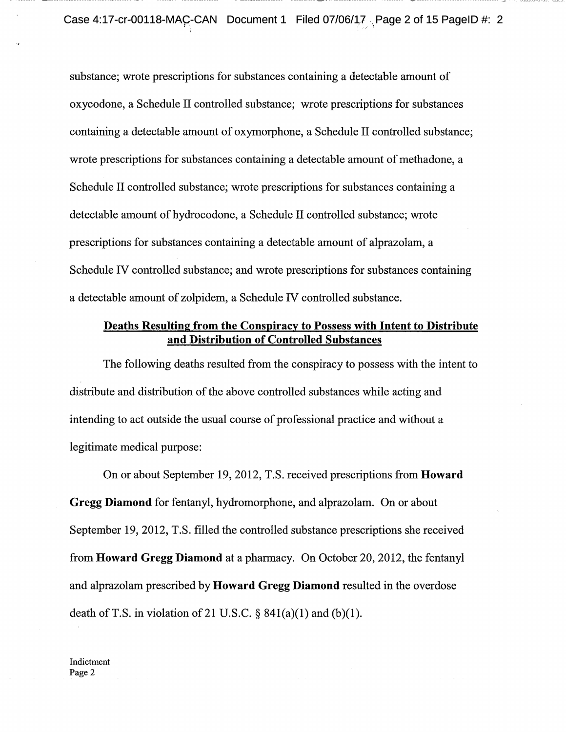substance; wrote prescriptions for substances containing a detectable amount of oxycodone, a Schedule II controlled substance; wrote prescriptions for substances containing a detectable amount of oxymorphone, a Schedule II controlled substance; wrote prescriptions for substances containing a detectable amount of methadone, a Schedule II controlled substance; wrote prescriptions for substances containing a detectable amount of hydrocodone, a Schedule II controlled substance; wrote prescriptions for substances containing a detectable amount of alprazolam, a Schedule IV controlled substance; and wrote prescriptions for substances containing a detectable amount of zolpidem, a Schedule IV controlled substance.

## **Deaths Resulting from the Conspiracy to Possess with Intent to Distribute and Distribution of Controlled Substances**

The following deaths resulted from the conspiracy to possess with the intent to distribute and distribution of the above controlled substances while acting and intending to act outside the usual course of professional practice and without a legitimate medical purpose:

On or about September 19, 2012, T.S. received prescriptions from **Howard Gregg Diamond** for fentanyl, hydromorphone, and alprazolam. On or about September 19, 2012, T.S. filled the controlled substance prescriptions she received from **Howard Gregg Diamond** at a pharmacy. On October 20, 2012, the fentanyl and alprazolam prescribed by **Howard Gregg Diamond** resulted in the overdose death of T.S. in violation of 21 U.S.C.  $\S$  841(a)(1) and (b)(1).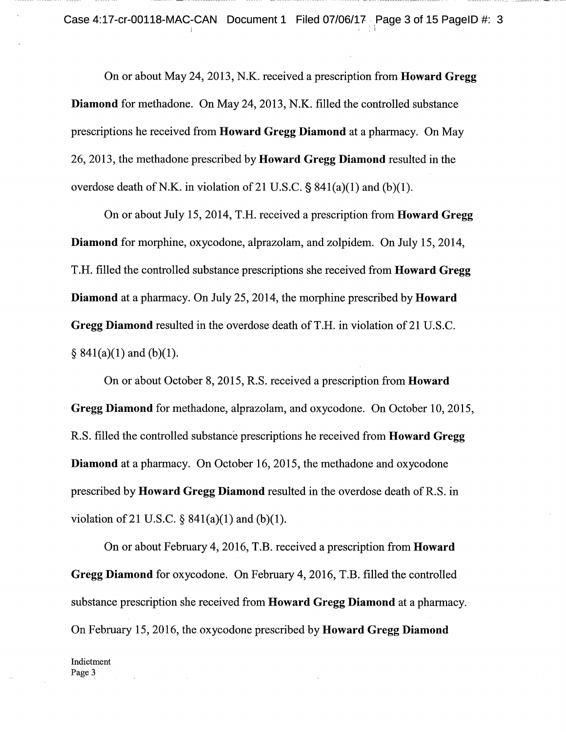On or about May 24, 2013, N.K. received a prescription from **Howard** Gregg **Diamond** for methadone. On May 24, 2013, N.K. filled the controlled substance prescriptions he received from **Howard Gregg Diamond** at a pharmacy. On May 26, 2013, the methadone prescribed by **Howard Gregg Diamond** resulted in the overdose death of N.K. in violation of 21 U.S.C.  $\S$  841(a)(1) and (b)(1).

On or about July 15, 2014, T.H. received a prescription from **Howard Gregg Diamond** for morphine, oxycodone, alprazolam, and zolpidem. On July 15, 2014, T.H. filled the controlled substance prescriptions she received from **Howard Gregg Diamond** at a pharmacy. On July 25, 2014, the morphine prescribed by **Howard Gregg Diamond resulted in the overdose death of T.H. in violation of 21 U.S.C.**  $§ 841(a)(1)$  and (b)(1).

On or about October 8, 2015, R.S. received a prescription from **Howard Gregg Diamond** for methadone, alprazolam, and oxycodone. On October 10, 2015, R.S. filled the controlled substance prescriptions he received from **Howard Gregg Diamond** at a pharmacy. On October 16, 2015, the methadone and oxycodone prescribed by **Howard Gregg Diamond** resulted in the overdose death ofR.S. in violation of 21 U.S.C.  $\S$  841(a)(1) and (b)(1).

On or about February 4, 2016, T.B. received a prescription from **Howard Gregg Diamond** for oxycodone. On February 4, 2016, T.B. filled the controlled substance prescription she received from **Howard Gregg Diamond** at a pharmacy. On February 15, 2016, the oxycodone prescribed by **Howard Gregg Diamond**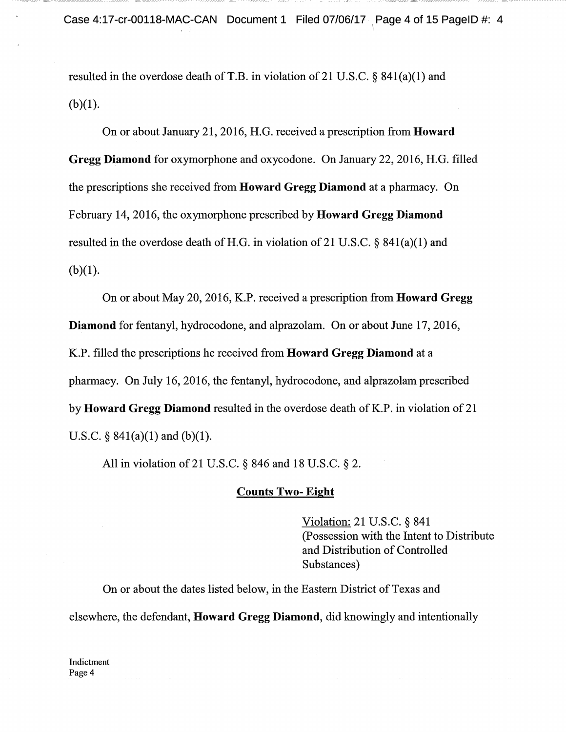resulted in the overdose death of T.B. in violation of 21 U.S.C.  $\S$  841(a)(1) and  $(b)(1)$ .

On or about January 21, 2016, H.G. received a prescription from **Howard Gregg Diamond** for oxymorphone and oxycodone. On January 22, 2016, H.G. filled the prescriptions she received from **Howard Gregg Diamond** at a pharmacy. On February 14, 2016, the oxymorphone prescribed by **Howard Gregg Diamond**  resulted in the overdose death of H.G. in violation of 21 U.S.C.  $\S$  841(a)(1) and  $(b)(1)$ .

On or about May 20, 2016, K.P. received a prescription from **Howard Gregg Diamond** for fentanyl, hydrocodone, and alprazolam. On or about June 17, 2016, K.P. filled the prescriptions he received from **Howard Gregg Diamond** at a pharmacy. On July 16, 2016, the fentanyl, hydrocodone, and alprazolam prescribed by **Howard Gregg Diamond** resulted in the overdose death of K.P. in violation of 21 U.S.C. §  $841(a)(1)$  and  $(b)(1)$ .

All in violation of 21 U.S.C. § 846 and 18 U.S.C. § 2.

## **Counts Two- Eight**

Violation: 21 U.S.C. § 841 (Possession with the Intent to Distribute and Distribution of Controlled Substances)

On or about the dates listed below, in the Eastern District of Texas and elsewhere, the defendant, **Howard Gregg Diamond,** did knowingly and intentionally

 $\mathcal{L}_{\text{max}}$  and  $\mathcal{L}_{\text{max}}$  . The same  $\mathcal{L}_{\text{max}}$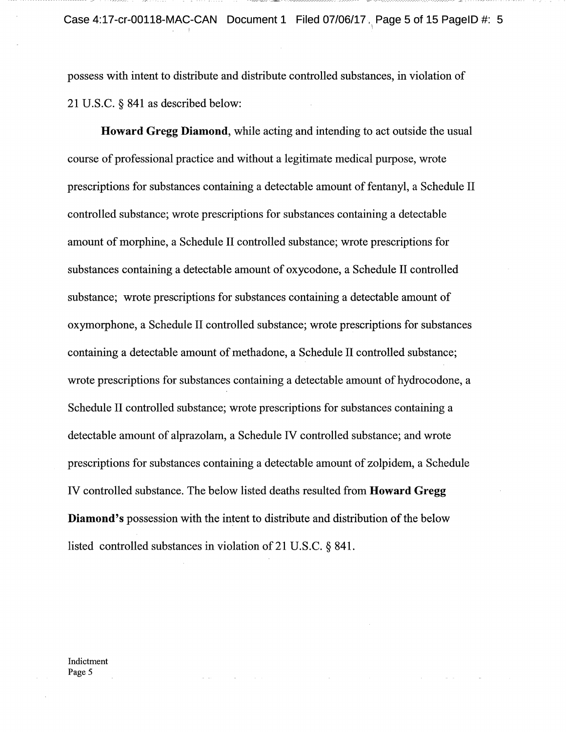possess with intent to distribute and distribute controlled substances, in violation of 21 U.S.C. § 841 as described below:

**Howard Gregg Diamond,** while acting and intending to act outside the usual course of professional practice and without a legitimate medical purpose, wrote prescriptions for substances containing a detectable amount of fentanyl, a Schedule II controlled substance; wrote prescriptions for substances containing a detectable amount of morphine, a Schedule II controlled substance; wrote prescriptions for substances containing a detectable amount of oxycodone, a Schedule II controlled substance; wrote prescriptions for substances containing a detectable amount of oxymorphone, a Schedule II controlled substance; wrote prescriptions for substances containing a detectable amount of methadone, a Schedule II controlled substance; wrote prescriptions for substances containing a detectable amount of hydrocodone, a Schedule II controlled substance; wrote prescriptions for substances containing a detectable amount of alprazolam, a Schedule IV controlled substance; and wrote prescriptions for substances containing a detectable amount of zolpidem, a Schedule IV controlled substance. The below listed deaths resulted from **Howard Gregg Diamond's** possession with the intent to distribute and distribution of the below listed controlled substances in violation of 21 U.S.C. § 841.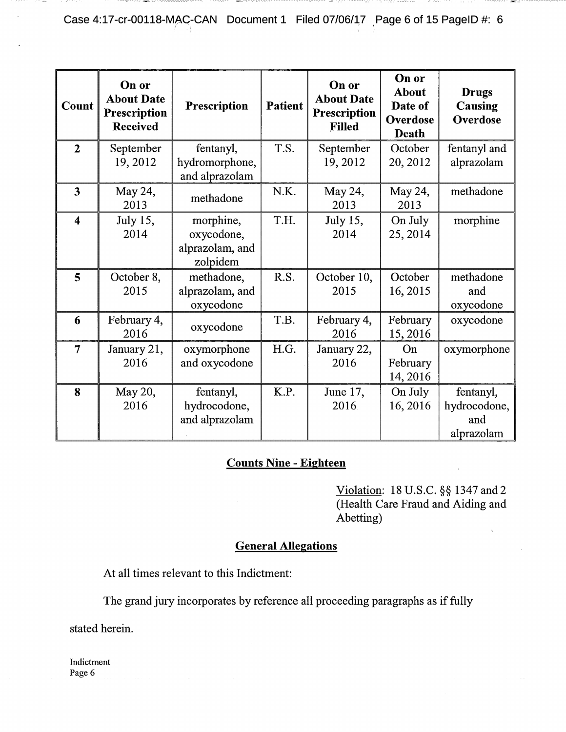Case 4:17-cr-00118-MAC-CAN Document 1 Filed 07/06/17 Page 6 of 15 PageID #: 6

| Count                   | On or<br><b>About Date</b><br>Prescription<br><b>Received</b> | Prescription                                | <b>Patient</b> | On or<br><b>About Date</b><br><b>Prescription</b><br><b>Filled</b> | On or<br><b>About</b><br>Date of<br>Overdose<br>Death | <b>Drugs</b><br>Causing<br>Overdose            |
|-------------------------|---------------------------------------------------------------|---------------------------------------------|----------------|--------------------------------------------------------------------|-------------------------------------------------------|------------------------------------------------|
| $\overline{2}$          | September<br>19, 2012                                         | fentanyl,<br>hydromorphone,                 | T.S.           | September<br>19, 2012                                              | October<br>20, 2012                                   | fentanyl and<br>alprazolam                     |
|                         |                                                               | and alprazolam                              |                |                                                                    |                                                       |                                                |
| 3                       | May 24,<br>2013                                               | methadone                                   | N.K.           | May 24,<br>2013                                                    | May 24,<br>2013                                       | methadone                                      |
| $\overline{\mathbf{4}}$ | July 15,                                                      | morphine,                                   | T.H.           | July 15,                                                           | On July                                               | morphine                                       |
|                         | 2014                                                          | oxycodone,<br>alprazolam, and<br>zolpidem   |                | 2014                                                               | 25, 2014                                              |                                                |
| 5                       | October 8,<br>2015                                            | methadone,<br>alprazolam, and<br>oxycodone  | R.S.           | October 10,<br>2015                                                | October<br>16, 2015                                   | methadone<br>and<br>oxycodone                  |
| 6                       | February 4,<br>2016                                           | oxycodone                                   | T.B.           | February 4,<br>2016                                                | February<br>15,2016                                   | oxycodone                                      |
| $\overline{7}$          | January 21,<br>2016                                           | oxymorphone<br>and oxycodone                | H.G.           | January 22,<br>2016                                                | On<br>February<br>14, 2016                            | oxymorphone                                    |
| 8                       | May 20,<br>2016                                               | fentanyl,<br>hydrocodone,<br>and alprazolam | K.P.           | June 17,<br>2016                                                   | On July<br>16, 2016                                   | fentanyl,<br>hydrocodone,<br>and<br>alprazolam |

# **Counts Nine** - **Eighteen**

Violation: 18 U.S.C. §§ 1347 and 2 (Health Care Fraud and Aiding and Abetting)

# **General Allegations**

At all times relevant to this Indictment:

The grand jury incorporates by reference all proceeding paragraphs as if fully

stated herein.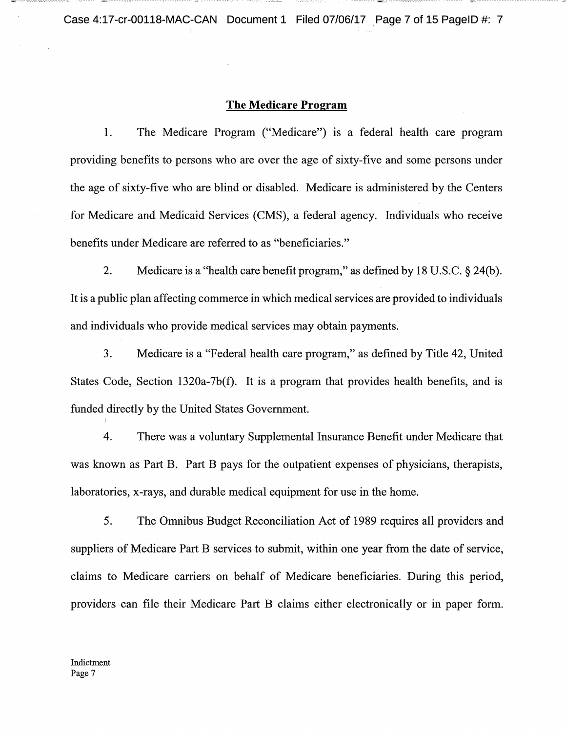## **The Medicare Program**

1. The Medicare Program ("Medicare") is a federal health care program providing benefits to persons who are over the age of sixty-five and some persons under the age of sixty-five who are blind or disabled. Medicare is administered by the Centers for Medicare and Medicaid Services (CMS), a federal agency. Individuals who receive benefits under Medicare are referred to as "beneficiaries."

2. Medicare is a "health care benefit program," as defined by 18 U.S.C. § 24(b). It is a public plan affecting commerce in which medical services are provided to individuals and individuals who provide medical services may obtain payments.

3. Medicare is a "Federal health care program," as defined by Title 42, United States Code, Section 1320a-7b(f). It is a program that provides health benefits, and is funded directly by the United States Government.

4. There was a voluntary Supplemental Insurance Benefit under Medicare that was known as Part B. Part B pays for the outpatient expenses of physicians, therapists, laboratories, x-rays, and durable medical equipment for use in the home.

*5.* The Omnibus Budget Reconciliation Act of 1989 requires all providers and suppliers of Medicare Part B services to submit, within one year from the date of service, claims to Medicare carriers on behalf of Medicare beneficiaries. During this period, providers can file their Medicare Part B claims either electronically or in paper form.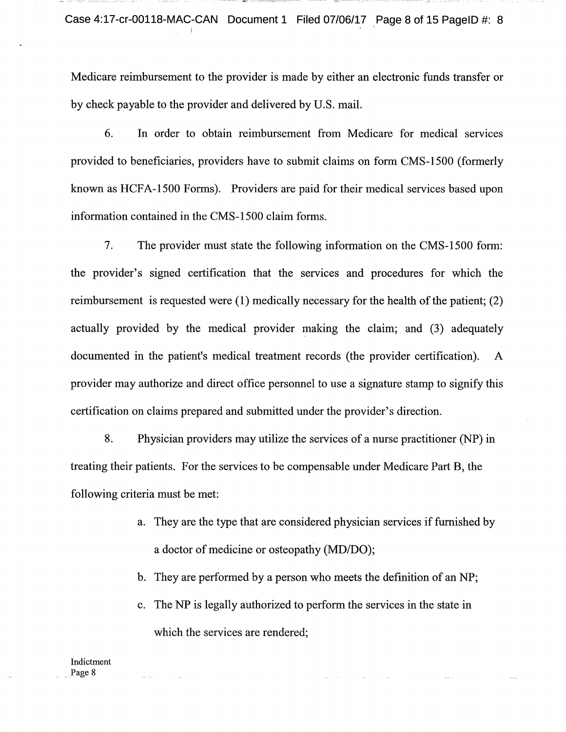Medicare reimbursement to the provider is made by either an electronic funds transfer or by check payable to the provider and delivered by U.S. mail.

6. In order to obtain reimbursement from Medicare for medical services provided to beneficiaries, providers have to submit claims on form CMS-1500 (formerly known as HCFA-1500 Forms). Providers are paid for their medical services based upon information contained in the CMS-1500 claim forms.

7. The provider must state the following information on the CMS-1500 form: the provider's signed certification that the services and procedures for which the reimbursement is requested were  $(1)$  medically necessary for the health of the patient;  $(2)$ actually provided by the medical provider making the claim; and (3) adequately documented in the patient's medical treatment records (the provider certification). A provider may authorize and direct office personnel to use a signature stamp to signify this certification on claims prepared and submitted under the provider's direction.

8. Physician providers may utilize the services of a nurse practitioner (NP) in treating their patients. For the services to be compensable under Medicare Part B, the following criteria must be met:

- a. They are the type that are considered physician services if furnished by a doctor of medicine or osteopathy (MD/DO);
- b. They are performed by a person who meets the definition of an NP;
- c. The NP is legally authorized to perform the services in the state in which the services are rendered;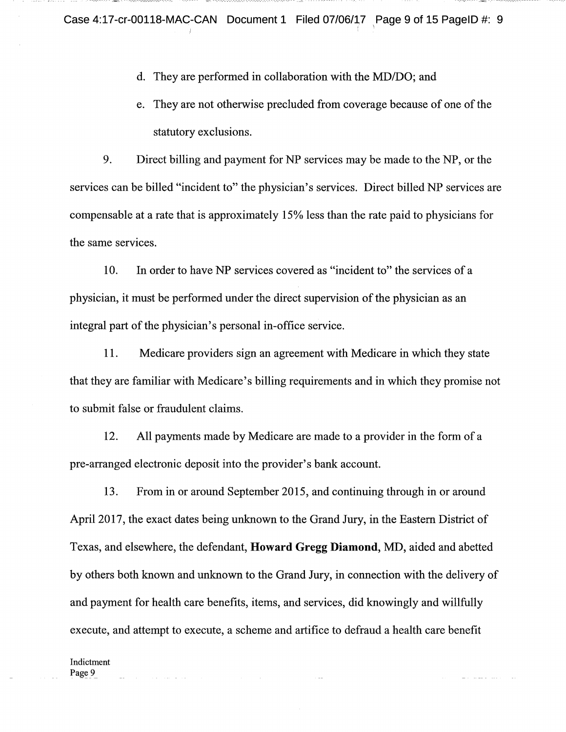d. They are performed in collaboration with the MD/DO; and

e. They are not otherwise precluded from coverage because of one of the statutory exclusions.

9. Direct billing and payment for NP services may be made to the NP, or the services can be billed "incident to" the physician's services. Direct billed NP services are compensable at a rate that is approximately 15% less than the rate paid to physicians for the same services.

10. In order to have NP services covered as "incident to" the services of a physician, it must be performed under the direct supervision of the physician as an integral part of the physician's personal in-office service.

11. Medicare providers sign an agreement with Medicare in which they state that they are familiar with Medicare's billing requirements and in which they promise not to submit false or fraudulent claims.

12. All payments made by Medicare are made to a provider in the form of a pre-arranged electronic deposit into the provider's bank account.

13. From in or around September 2015, and continuing through in or around April 2017, the exact dates being unknown to the Grand Jury, in the Eastern District of Texas, and elsewhere, the defendant, **Howard Gregg Diamond,** MD, aided and abetted by others both known and unknown to the Grand Jury, in connection with the delivery of and payment for health care benefits, items, and services, did knowingly and willfully execute, and attempt to execute, a scheme and artifice to defraud a health care benefit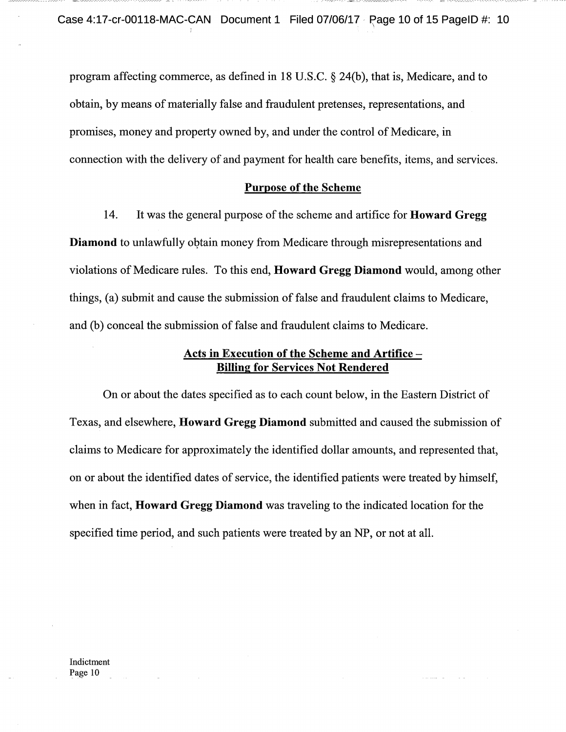program affecting commerce, as defined in 18 U.S.C. § 24(b), that is, Medicare, and to obtain, by means of materially false and fraudulent pretenses, representations, and promises, money and property owned by, and under the control of Medicare, in connection with the delivery of and payment for health care benefits, items, and services.

### **Purpose of the Scheme**

14. It was the general purpose ofthe scheme and artifice for **Howard** Gregg **Diamond** to unlawfully obtain money from Medicare through misrepresentations and violations of Medicare rules. To this end, **Howard Gregg Diamond** would, among other things, (a) submit and cause the submission offalse and fraudulent claims to Medicare, and (b) conceal the submission of false and fraudulent claims to Medicare.

# Acts in **Execution of the Scheme and Artifice Billing for Services Not Rendered**

On or about the dates specified as to each count below, in the Eastern District of Texas, and elsewhere, **Howard Gregg Diamond** submitted and caused the submission of claims to Medicare for approximately the identified dollar amounts, and represented that, on or about the identified dates of service, the identified patients were treated by himself, when in fact, **Howard Gregg Diamond** was traveling to the indicated location for the specified time period, and such patients were treated by an NP, or not at all.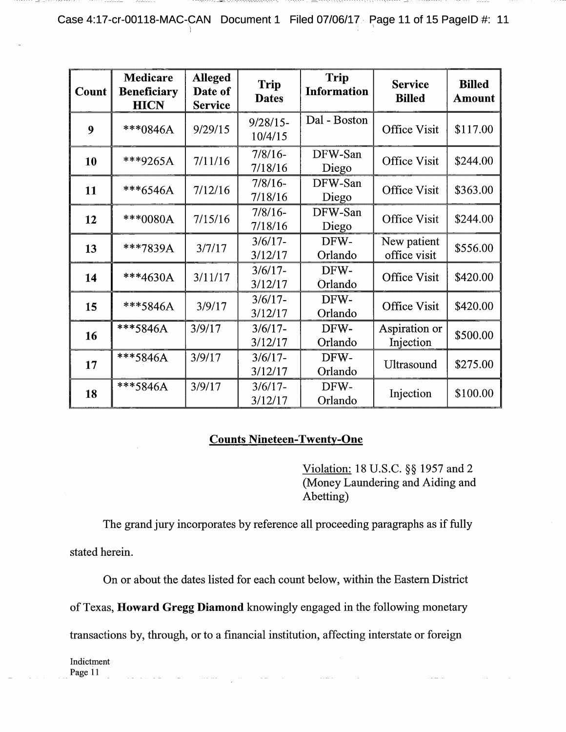Case 4:17-cr-00118-MAC-CAN Document 1 Filed 07/06/17 Page 11 of 15 PageID #: 11

| Count | <b>Medicare</b><br><b>Beneficiary</b><br><b>HICN</b> | <b>Alleged</b><br>Date of<br><b>Service</b> | <b>Trip</b><br><b>Dates</b> | <b>Trip</b><br><b>Information</b> | <b>Service</b><br><b>Billed</b> | <b>Billed</b><br><b>Amount</b> |
|-------|------------------------------------------------------|---------------------------------------------|-----------------------------|-----------------------------------|---------------------------------|--------------------------------|
| 9     | ***0846A                                             | 9/29/15                                     | $9/28/15-$<br>10/4/15       | Dal - Boston                      | <b>Office Visit</b>             | \$117.00                       |
| 10    | ***9265A                                             | 7/11/16                                     | $7/8/16$ -<br>7/18/16       | DFW-San<br>Diego                  | <b>Office Visit</b>             | \$244.00                       |
| 11    | ***6546A                                             | 7/12/16                                     | $7/8/16$ -<br>7/18/16       | DFW-San<br>Diego                  | Office Visit                    | \$363.00                       |
| 12    | ***0080A                                             | 7/15/16                                     | $7/8/16$ -<br>7/18/16       | DFW-San<br>Diego                  | <b>Office Visit</b>             | \$244.00                       |
| 13    | ***7839A                                             | 3/7/17                                      | $3/6/17 -$<br>3/12/17       | DFW-<br>Orlando                   | New patient<br>office visit     | \$556.00                       |
| 14    | ***4630A                                             | 3/11/17                                     | $3/6/17$ -<br>3/12/17       | DFW-<br>Orlando                   | <b>Office Visit</b>             | \$420.00                       |
| 15    | ***5846A                                             | 3/9/17                                      | $3/6/17 -$<br>3/12/17       | DFW-<br>Orlando                   | <b>Office Visit</b>             | \$420.00                       |
| 16    | ***5846A                                             | 3/9/17                                      | $3/6/17 -$<br>3/12/17       | DFW-<br>Orlando                   | Aspiration or<br>Injection      | \$500.00                       |
| 17    | ***5846A                                             | 3/9/17                                      | $3/6/17 -$<br>3/12/17       | DFW-<br>Orlando                   | Ultrasound                      | \$275.00                       |
| 18    | ***5846A                                             | 3/9/17                                      | $3/6/17$ -<br>3/12/17       | DFW-<br>Orlando                   | Injection                       | \$100.00                       |

# **Counts Nineteen-Twenty-One**

Violation: 18 U.S.C. §§ 1957 and 2 (Money Laundering and Aiding and Abetting)

 $\sim 10^{11}$  and  $\sim 10^{11}$ 

The grand jury incorporates by reference all proceeding paragraphs as if fully stated herein.

On or about the dates listed for each count below, within the Eastern District

of Texas, **Howard Gregg Diamond** knowingly engaged in the following monetary

transactions by, through, or to a financial institution, affecting interstate or foreign

alamanan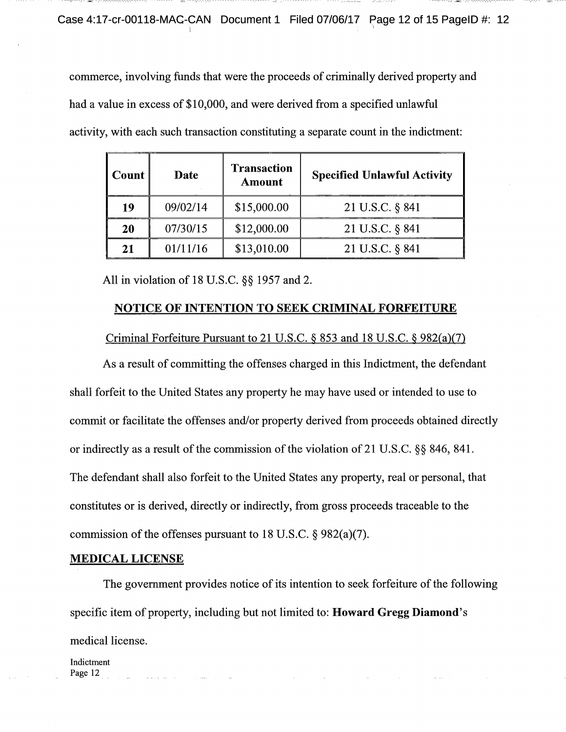commerce, involving funds that were the proceeds of criminally derived property and had a value in excess of \$10,000, and were derived from a specified unlawful activity, with each such transaction constituting a separate count in the indictment:

| l Count | Date     | <b>Transaction</b><br><b>Amount</b> | <b>Specified Unlawful Activity</b> |
|---------|----------|-------------------------------------|------------------------------------|
| 19      | 09/02/14 | \$15,000.00                         | 21 U.S.C. § 841                    |
| 20      | 07/30/15 | \$12,000.00                         | 21 U.S.C. § 841                    |
| 21      | 01/11/16 | \$13,010.00                         | 21 U.S.C. § 841                    |

All in violation of 18 U.S.C. §§ 1957 and 2.

## **NOTICE OF INTENTION TO SEEK CRIMINAL FORFEITURE**

## Criminal Forfeiture Pursuant to 21 U.S.C. § 853 and 18 U.S.C. § 982(a)(7)

As a result of committing the offenses charged in this Indictment, the defendant shall forfeit to the United States any property he may have used or intended to use to commit or facilitate the offenses and/or property derived from proceeds obtained directly or indirectly as a result of the commission of the violation of 21 U.S.C.  $\S$ § 846, 841. The defendant shall also forfeit to the United States any property, real or personal, that constitutes or is derived, directly or indirectly, from gross proceeds traceable to the commission of the offenses pursuant to 18 U.S.C.  $\S$  982(a)(7).

## **MEDICAL LICENSE**

The government provides notice of its intention to seek forfeiture of the following specific item of property, including but not limited to: **Howard Gregg Diamond's** medical license.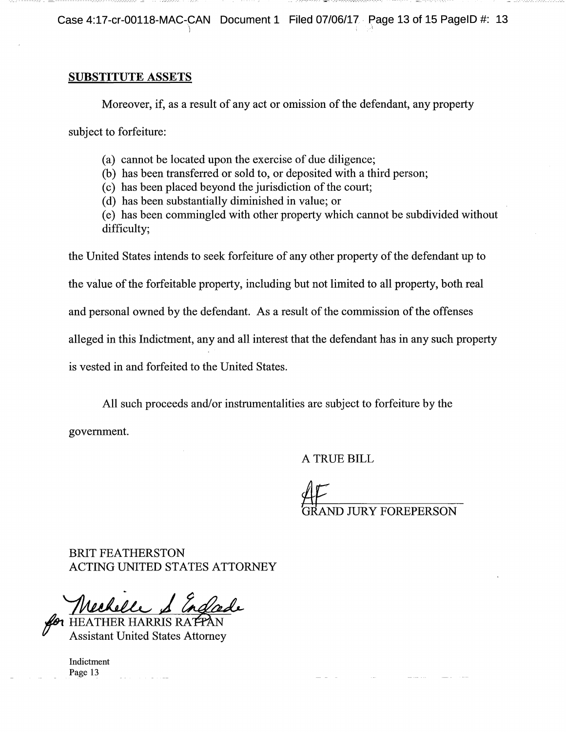Case 4:17-cr-00118-MAC-CAN Document 1 Filed 07/06/17 Rage 13 of 15 PageID #: 13

## **SUBSTITUTE ASSETS**

Moreover, if, as a result of any act or omission of the defendant, any property

subject to forfeiture:

- (a) cannot be located upon the exercise of due diligence;
- (b) has been transferred or sold to, or deposited with a third person;
- (c) has been placed beyond the jurisdiction of the court;
- (d) has been substantially diminished in value; or
- (e) has been commingled with other property which cannot be subdivided without difficulty;

the United States intends to seek forfeiture of any other property of the defendant up to the value of the forfeitable property, including but not limited to all property, both real and personal owned by the defendant. As a result of the commission of the offenses alleged in this Indictment, any and all interest that the defendant has in any such property

is vested in and forfeited to the United States.

All such proceeds and/or instrumentalities are subject to forfeiture by the

government.

A TRUE BILL

**D JURY FOREPERSON** 

BRIT FEATHERSTON ACTING UNITED STATES ATTORNEY

Weekell 1 Indon

Assistant United States Attorney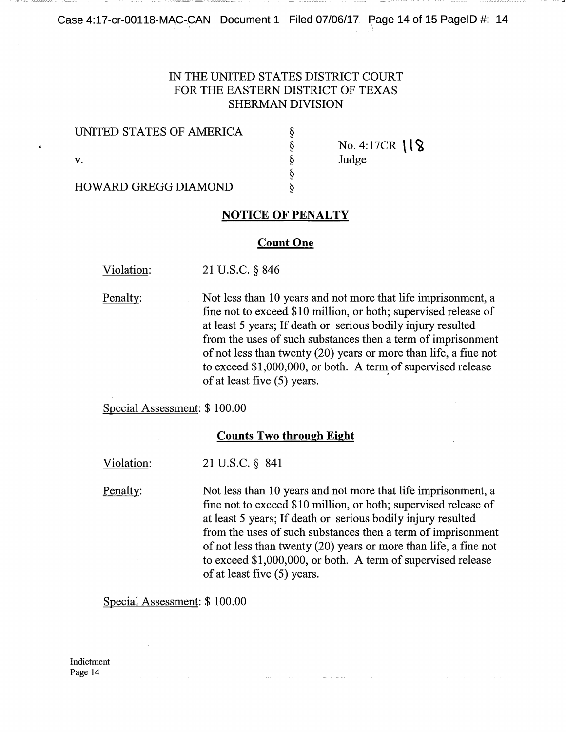# IN THE UNITED STATES DISTRICT COURT FOR THE EASTERN DISTRICT OF TEXAS SHERMAN DIVISION

#### UNITED STATES OF AMERICA

No. 4:17CR  $\frac{1}{8}$ **V.** Some state of  $\S$  Judge

HOWARD GREGG DIAMOND

### **NOTICE OF PENALTY**

⊗⊗⊗⊗

#### **Count One**

Violation: 21 U.S.C. § 846

Penalty: Not less than 10 years and not more that life imprisonment, a fine not to exceed \$10 million, or both; supervised release of at least 5 years; If death or serious bodily injury resulted from the uses of such substances then a term of imprisonment of not less than twenty (20) years or more than life, a fine not to exceed \$1,000,000, or both. A term of supervised release of at least five (5) years.

Special Assessment: \$ 100.00

### **Counts Two through Eight**

Violation: 21 U.S.C. § 841

Penalty: Not less than 10 years and not more that life imprisonment, a fine not to exceed \$10 million, or both; supervised release of at least 5 years; If death or serious bodily injury resulted from the uses of such substances then a term of imprisonment of not less than twenty (20) years or more than life, a fine not to exceed \$1,000,000, or both. A term of supervised release of at least five (5) years.

Special Assessment: \$ 100.00